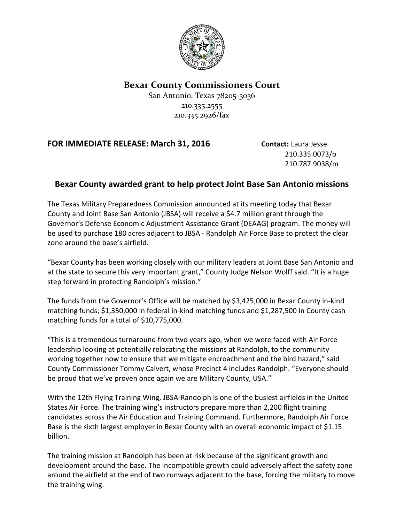

## **Bexar County Commissioners Court**

San Antonio, Texas 78205-3036 210.335.2555 210.335.2926/fax

## **FOR IMMEDIATE RELEASE: March 31, 2016 Contact:** Laura Jesse

210.335.0073/o 210.787.9038/m

## **Bexar County awarded grant to help protect Joint Base San Antonio missions**

The Texas Military Preparedness Commission announced at its meeting today that Bexar County and Joint Base San Antonio (JBSA) will receive a \$4.7 million grant through the Governor's Defense Economic Adjustment Assistance Grant (DEAAG) program. The money will be used to purchase 180 acres adjacent to JBSA - Randolph Air Force Base to protect the clear zone around the base's airfield.

"Bexar County has been working closely with our military leaders at Joint Base San Antonio and at the state to secure this very important grant," County Judge Nelson Wolff said. "It is a huge step forward in protecting Randolph's mission."

The funds from the Governor's Office will be matched by \$3,425,000 in Bexar County in-kind matching funds; \$1,350,000 in federal in-kind matching funds and \$1,287,500 in County cash matching funds for a total of \$10,775,000.

"This is a tremendous turnaround from two years ago, when we were faced with Air Force leadership looking at potentially relocating the missions at Randolph, to the community working together now to ensure that we mitigate encroachment and the bird hazard," said County Commissioner Tommy Calvert, whose Precinct 4 includes Randolph. "Everyone should be proud that we've proven once again we are Military County, USA."

With the 12th Flying Training Wing, JBSA-Randolph is one of the busiest airfields in the United States Air Force. The training wing's instructors prepare more than 2,200 flight training candidates across the Air Education and Training Command. Furthermore, Randolph Air Force Base is the sixth largest employer in Bexar County with an overall economic impact of \$1.15 billion.

The training mission at Randolph has been at risk because of the significant growth and development around the base. The incompatible growth could adversely affect the safety zone around the airfield at the end of two runways adjacent to the base, forcing the military to move the training wing.